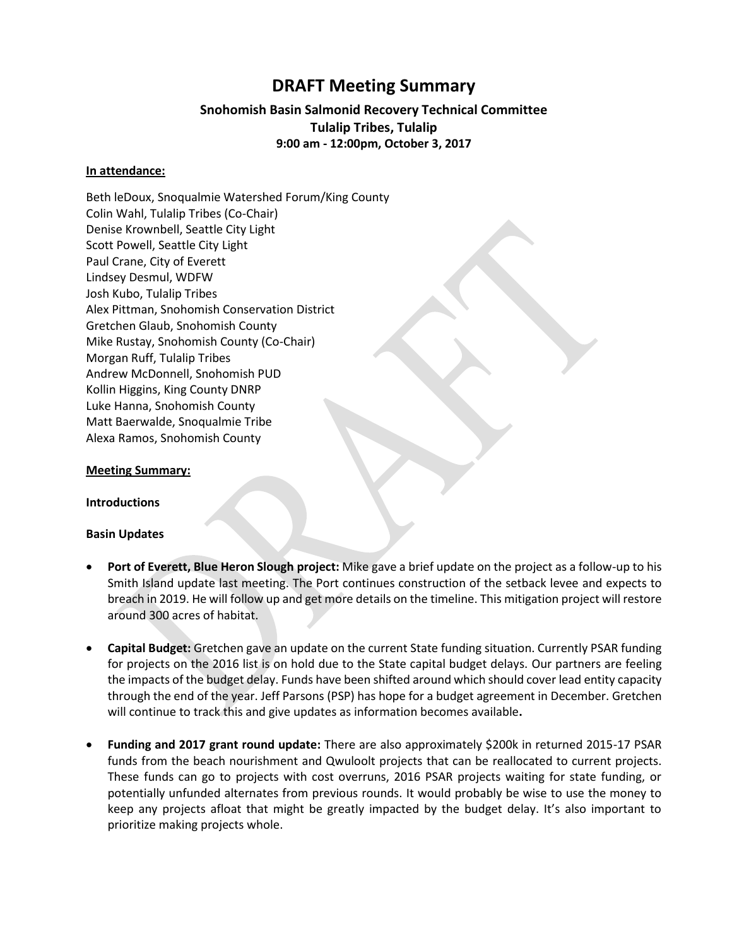# **DRAFT Meeting Summary**

### **Snohomish Basin Salmonid Recovery Technical Committee Tulalip Tribes, Tulalip 9:00 am - 12:00pm, October 3, 2017**

### **In attendance:**

Beth leDoux, Snoqualmie Watershed Forum/King County Colin Wahl, Tulalip Tribes (Co-Chair) Denise Krownbell, Seattle City Light Scott Powell, Seattle City Light Paul Crane, City of Everett Lindsey Desmul, WDFW Josh Kubo, Tulalip Tribes Alex Pittman, Snohomish Conservation District Gretchen Glaub, Snohomish County Mike Rustay, Snohomish County (Co-Chair) Morgan Ruff, Tulalip Tribes Andrew McDonnell, Snohomish PUD Kollin Higgins, King County DNRP Luke Hanna, Snohomish County Matt Baerwalde, Snoqualmie Tribe Alexa Ramos, Snohomish County

#### **Meeting Summary:**

**Introductions** 

#### **Basin Updates**

- **Port of Everett, Blue Heron Slough project:** Mike gave a brief update on the project as a follow-up to his Smith Island update last meeting. The Port continues construction of the setback levee and expects to breach in 2019. He will follow up and get more details on the timeline. This mitigation project will restore around 300 acres of habitat.
- **Capital Budget:** Gretchen gave an update on the current State funding situation. Currently PSAR funding for projects on the 2016 list is on hold due to the State capital budget delays. Our partners are feeling the impacts of the budget delay. Funds have been shifted around which should cover lead entity capacity through the end of the year. Jeff Parsons (PSP) has hope for a budget agreement in December. Gretchen will continue to track this and give updates as information becomes available**.**
- **Funding and 2017 grant round update:** There are also approximately \$200k in returned 2015-17 PSAR funds from the beach nourishment and Qwuloolt projects that can be reallocated to current projects. These funds can go to projects with cost overruns, 2016 PSAR projects waiting for state funding, or potentially unfunded alternates from previous rounds. It would probably be wise to use the money to keep any projects afloat that might be greatly impacted by the budget delay. It's also important to prioritize making projects whole.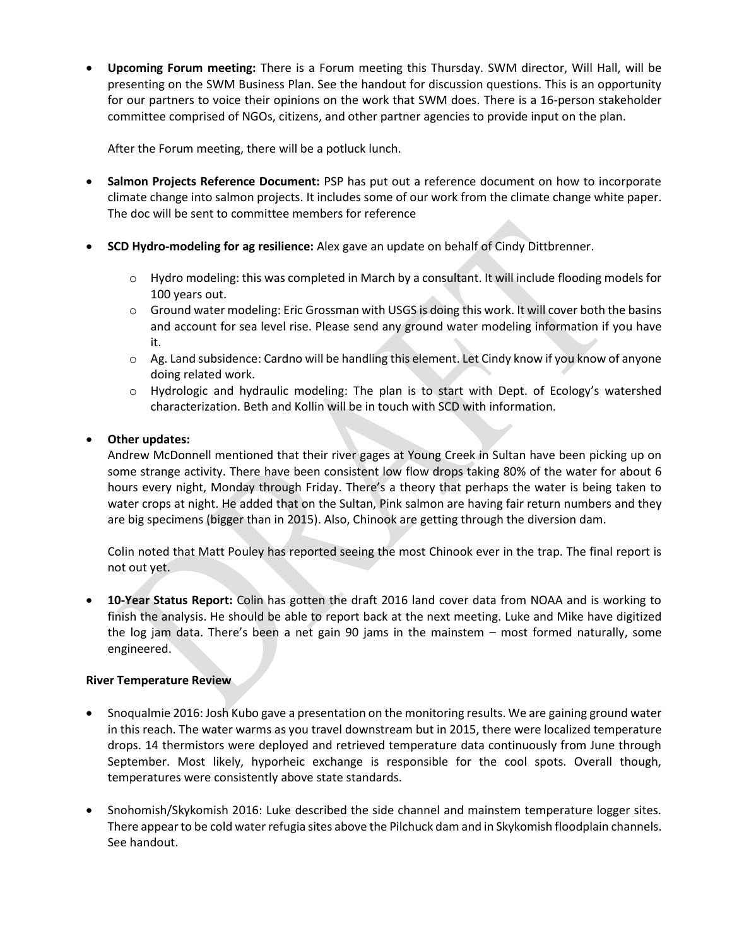**Upcoming Forum meeting:** There is a Forum meeting this Thursday. SWM director, Will Hall, will be presenting on the SWM Business Plan. See the handout for discussion questions. This is an opportunity for our partners to voice their opinions on the work that SWM does. There is a 16-person stakeholder committee comprised of NGOs, citizens, and other partner agencies to provide input on the plan.

After the Forum meeting, there will be a potluck lunch.

- **Salmon Projects Reference Document:** PSP has put out a reference document on how to incorporate climate change into salmon projects. It includes some of our work from the climate change white paper. The doc will be sent to committee members for reference
- **SCD Hydro-modeling for ag resilience:** Alex gave an update on behalf of Cindy Dittbrenner.
	- o Hydro modeling: this was completed in March by a consultant. It will include flooding models for 100 years out.
	- $\circ$  Ground water modeling: Eric Grossman with USGS is doing this work. It will cover both the basins and account for sea level rise. Please send any ground water modeling information if you have it.
	- o Ag. Land subsidence: Cardno will be handling this element. Let Cindy know if you know of anyone doing related work.
	- $\circ$  Hydrologic and hydraulic modeling: The plan is to start with Dept. of Ecology's watershed characterization. Beth and Kollin will be in touch with SCD with information.

## **Other updates:**

Andrew McDonnell mentioned that their river gages at Young Creek in Sultan have been picking up on some strange activity. There have been consistent low flow drops taking 80% of the water for about 6 hours every night, Monday through Friday. There's a theory that perhaps the water is being taken to water crops at night. He added that on the Sultan, Pink salmon are having fair return numbers and they are big specimens (bigger than in 2015). Also, Chinook are getting through the diversion dam.

Colin noted that Matt Pouley has reported seeing the most Chinook ever in the trap. The final report is not out yet.

 **10-Year Status Report:** Colin has gotten the draft 2016 land cover data from NOAA and is working to finish the analysis. He should be able to report back at the next meeting. Luke and Mike have digitized the log jam data. There's been a net gain 90 jams in the mainstem – most formed naturally, some engineered.

### **River Temperature Review**

- Snoqualmie 2016: Josh Kubo gave a presentation on the monitoring results. We are gaining ground water in this reach. The water warms as you travel downstream but in 2015, there were localized temperature drops. 14 thermistors were deployed and retrieved temperature data continuously from June through September. Most likely, hyporheic exchange is responsible for the cool spots. Overall though, temperatures were consistently above state standards.
- Snohomish/Skykomish 2016: Luke described the side channel and mainstem temperature logger sites. There appear to be cold water refugia sites above the Pilchuck dam and in Skykomish floodplain channels. See handout.